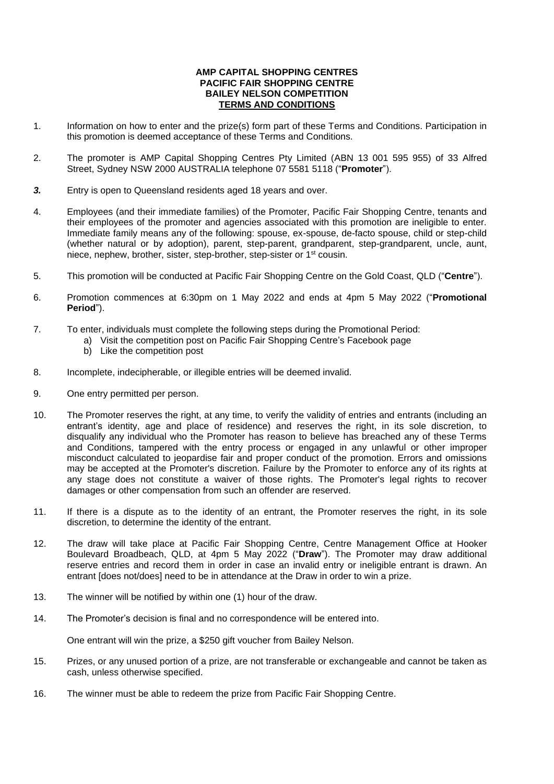## **AMP CAPITAL SHOPPING CENTRES PACIFIC FAIR SHOPPING CENTRE BAILEY NELSON COMPETITION TERMS AND CONDITIONS**

- 1. Information on how to enter and the prize(s) form part of these Terms and Conditions. Participation in this promotion is deemed acceptance of these Terms and Conditions.
- 2. The promoter is AMP Capital Shopping Centres Pty Limited (ABN 13 001 595 955) of 33 Alfred Street, Sydney NSW 2000 AUSTRALIA telephone 07 5581 5118 ("**Promoter**").
- *3.* Entry is open to Queensland residents aged 18 years and over.
- 4. Employees (and their immediate families) of the Promoter, Pacific Fair Shopping Centre, tenants and their employees of the promoter and agencies associated with this promotion are ineligible to enter. Immediate family means any of the following: spouse, ex-spouse, de-facto spouse, child or step-child (whether natural or by adoption), parent, step-parent, grandparent, step-grandparent, uncle, aunt, niece, nephew, brother, sister, step-brother, step-sister or 1st cousin.
- 5. This promotion will be conducted at Pacific Fair Shopping Centre on the Gold Coast, QLD ("**Centre**").
- 6. Promotion commences at 6:30pm on 1 May 2022 and ends at 4pm 5 May 2022 ("**Promotional Period**").
- 7. To enter, individuals must complete the following steps during the Promotional Period:
	- a) Visit the competition post on Pacific Fair Shopping Centre's Facebook page
	- b) Like the competition post
- 8. Incomplete, indecipherable, or illegible entries will be deemed invalid.
- 9. One entry permitted per person.
- 10. The Promoter reserves the right, at any time, to verify the validity of entries and entrants (including an entrant's identity, age and place of residence) and reserves the right, in its sole discretion, to disqualify any individual who the Promoter has reason to believe has breached any of these Terms and Conditions, tampered with the entry process or engaged in any unlawful or other improper misconduct calculated to jeopardise fair and proper conduct of the promotion. Errors and omissions may be accepted at the Promoter's discretion. Failure by the Promoter to enforce any of its rights at any stage does not constitute a waiver of those rights. The Promoter's legal rights to recover damages or other compensation from such an offender are reserved.
- 11. If there is a dispute as to the identity of an entrant, the Promoter reserves the right, in its sole discretion, to determine the identity of the entrant.
- 12. The draw will take place at Pacific Fair Shopping Centre, Centre Management Office at Hooker Boulevard Broadbeach, QLD, at 4pm 5 May 2022 ("**Draw**"). The Promoter may draw additional reserve entries and record them in order in case an invalid entry or ineligible entrant is drawn. An entrant [does not/does] need to be in attendance at the Draw in order to win a prize.
- 13. The winner will be notified by within one (1) hour of the draw.
- 14. The Promoter's decision is final and no correspondence will be entered into.

One entrant will win the prize, a \$250 gift voucher from Bailey Nelson.

- 15. Prizes, or any unused portion of a prize, are not transferable or exchangeable and cannot be taken as cash, unless otherwise specified.
- 16. The winner must be able to redeem the prize from Pacific Fair Shopping Centre.